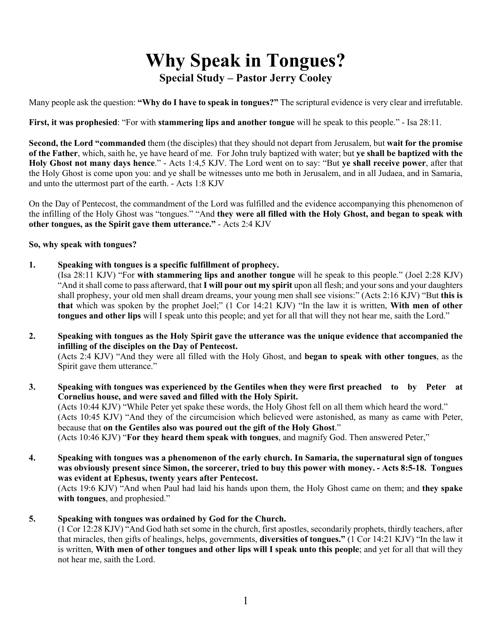# **Why Speak in Tongues? Special Study – Pastor Jerry Cooley**

Many people ask the question: **"Why do I have to speak in tongues?"** The scriptural evidence is very clear and irrefutable.

**First, it was prophesied**: "For with **stammering lips and another tongue** will he speak to this people." - Isa 28:11.

**Second, the Lord "commanded** them (the disciples) that they should not depart from Jerusalem, but **wait for the promise of the Father**, which, saith he, ye have heard of me. For John truly baptized with water; but **ye shall be baptized with the Holy Ghost not many days hence**." - Acts 1:4,5 KJV. The Lord went on to say: "But **ye shall receive power**, after that the Holy Ghost is come upon you: and ye shall be witnesses unto me both in Jerusalem, and in all Judaea, and in Samaria, and unto the uttermost part of the earth. - Acts 1:8 KJV

On the Day of Pentecost, the commandment of the Lord was fulfilled and the evidence accompanying this phenomenon of the infilling of the Holy Ghost was "tongues." "And **they were all filled with the Holy Ghost, and began to speak with other tongues, as the Spirit gave them utterance."** - Acts 2:4 KJV

## **So, why speak with tongues?**

**1. Speaking with tongues is a specific fulfillment of prophecy.**

(Isa 28:11 KJV) "For **with stammering lips and another tongue** will he speak to this people." (Joel 2:28 KJV) "And it shall come to pass afterward, that **I will pour out my spirit** upon all flesh; and your sons and your daughters shall prophesy, your old men shall dream dreams, your young men shall see visions:" (Acts 2:16 KJV) "But **this is that** which was spoken by the prophet Joel;" (1 Cor 14:21 KJV) "In the law it is written, **With men of other tongues and other lips** will I speak unto this people; and yet for all that will they not hear me, saith the Lord."

**2. Speaking with tongues as the Holy Spirit gave the utterance was the unique evidence that accompanied the infilling of the disciples on the Day of Pentecost.**

(Acts 2:4 KJV) "And they were all filled with the Holy Ghost, and **began to speak with other tongues**, as the Spirit gave them utterance."

- **3. Speaking with tongues was experienced by the Gentiles when they were first preached to by Peter at Cornelius house, and were saved and filled with the Holy Spirit.** (Acts 10:44 KJV) "While Peter yet spake these words, the Holy Ghost fell on all them which heard the word." (Acts 10:45 KJV) "And they of the circumcision which believed were astonished, as many as came with Peter, because that **on the Gentiles also was poured out the gift of the Holy Ghost**." (Acts 10:46 KJV) "**For they heard them speak with tongues**, and magnify God. Then answered Peter,"
- **4. Speaking with tongues was a phenomenon of the early church. In Samaria, the supernatural sign of tongues was obviously present since Simon, the sorcerer, tried to buy this power with money. - Acts 8:5-18. Tongues was evident at Ephesus, twenty years after Pentecost.**

(Acts 19:6 KJV) "And when Paul had laid his hands upon them, the Holy Ghost came on them; and **they spake with tongues**, and prophesied."

**5. Speaking with tongues was ordained by God for the Church.**

(1 Cor 12:28 KJV) "And God hath set some in the church, first apostles, secondarily prophets, thirdly teachers, after that miracles, then gifts of healings, helps, governments, **diversities of tongues."** (1 Cor 14:21 KJV) "In the law it is written, **With men of other tongues and other lips will I speak unto this people**; and yet for all that will they not hear me, saith the Lord.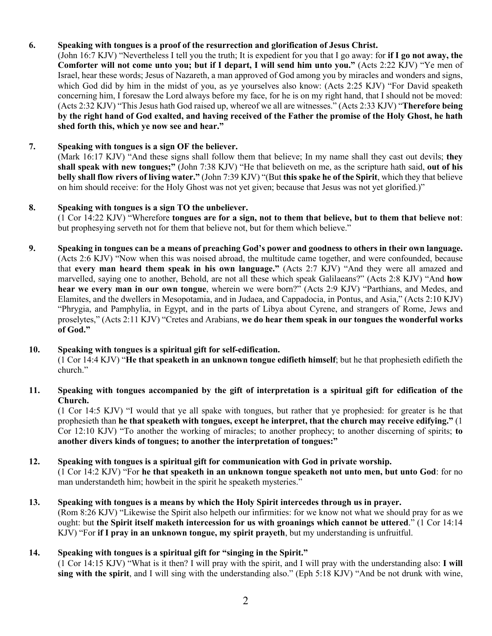# **6. Speaking with tongues is a proof of the resurrection and glorification of Jesus Christ.**

(John 16:7 KJV) "Nevertheless I tell you the truth; It is expedient for you that I go away: for **if I go not away, the Comforter will not come unto you; but if I depart, I will send him unto you."** (Acts 2:22 KJV) "Ye men of Israel, hear these words; Jesus of Nazareth, a man approved of God among you by miracles and wonders and signs, which God did by him in the midst of you, as ye yourselves also know: (Acts 2:25 KJV) "For David speaketh concerning him, I foresaw the Lord always before my face, for he is on my right hand, that I should not be moved: (Acts 2:32 KJV) "This Jesus hath God raised up, whereof we all are witnesses." (Acts 2:33 KJV) "**Therefore being by the right hand of God exalted, and having received of the Father the promise of the Holy Ghost, he hath shed forth this, which ye now see and hear."**

# **7. Speaking with tongues is a sign OF the believer.**

(Mark 16:17 KJV) "And these signs shall follow them that believe; In my name shall they cast out devils; **they shall speak with new tongues;"** (John 7:38 KJV) "He that believeth on me, as the scripture hath said, **out of his belly shall flow rivers of living water."** (John 7:39 KJV) "(But **this spake he of the Spirit**, which they that believe on him should receive: for the Holy Ghost was not yet given; because that Jesus was not yet glorified.)"

# **8. Speaking with tongues is a sign TO the unbeliever.**

(1 Cor 14:22 KJV) "Wherefore **tongues are for a sign, not to them that believe, but to them that believe not**: but prophesying serveth not for them that believe not, but for them which believe."

**9. Speaking in tongues can be a means of preaching God's power and goodness to others in their own language.** (Acts 2:6 KJV) "Now when this was noised abroad, the multitude came together, and were confounded, because that **every man heard them speak in his own language."** (Acts 2:7 KJV) "And they were all amazed and marvelled, saying one to another, Behold, are not all these which speak Galilaeans?" (Acts 2:8 KJV) "And **how hear we every man in our own tongue**, wherein we were born?" (Acts 2:9 KJV) "Parthians, and Medes, and Elamites, and the dwellers in Mesopotamia, and in Judaea, and Cappadocia, in Pontus, and Asia," (Acts 2:10 KJV) "Phrygia, and Pamphylia, in Egypt, and in the parts of Libya about Cyrene, and strangers of Rome, Jews and proselytes," (Acts 2:11 KJV) "Cretes and Arabians, **we do hear them speak in our tongues the wonderful works of God."**

# **10. Speaking with tongues is a spiritual gift for self-edification.**

(1 Cor 14:4 KJV) "**He that speaketh in an unknown tongue edifieth himself**; but he that prophesieth edifieth the church."

# **11. Speaking with tongues accompanied by the gift of interpretation is a spiritual gift for edification of the Church.**

(1 Cor 14:5 KJV) "I would that ye all spake with tongues, but rather that ye prophesied: for greater is he that prophesieth than **he that speaketh with tongues, except he interpret, that the church may receive edifying."** (1 Cor 12:10 KJV) "To another the working of miracles; to another prophecy; to another discerning of spirits; **to another divers kinds of tongues; to another the interpretation of tongues:"**

## **12. Speaking with tongues is a spiritual gift for communication with God in private worship.**

(1 Cor 14:2 KJV) "For **he that speaketh in an unknown tongue speaketh not unto men, but unto God**: for no man understandeth him; howbeit in the spirit he speaketh mysteries."

## **13. Speaking with tongues is a means by which the Holy Spirit intercedes through us in prayer.** (Rom 8:26 KJV) "Likewise the Spirit also helpeth our infirmities: for we know not what we should pray for as we ought: but **the Spirit itself maketh intercession for us with groanings which cannot be uttered**." (1 Cor 14:14 KJV) "For **if I pray in an unknown tongue, my spirit prayeth**, but my understanding is unfruitful.

# **14. Speaking with tongues is a spiritual gift for "singing in the Spirit."**

(1 Cor 14:15 KJV) "What is it then? I will pray with the spirit, and I will pray with the understanding also: **I will sing with the spirit**, and I will sing with the understanding also." (Eph 5:18 KJV) "And be not drunk with wine,